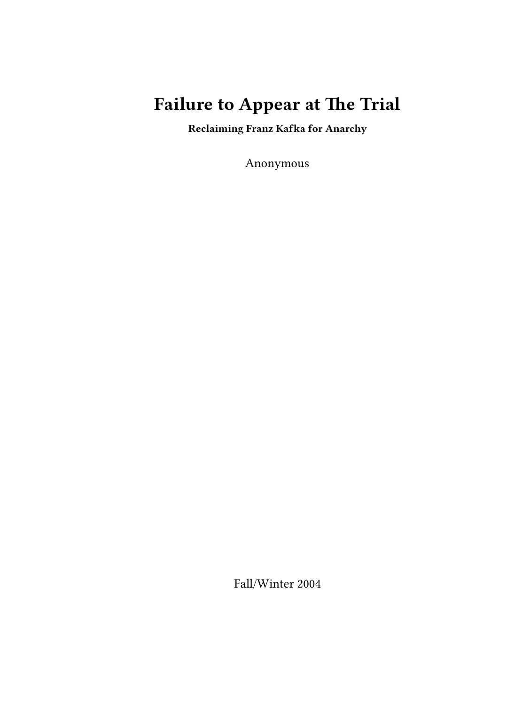# **Failure to Appear at The Trial**

**Reclaiming Franz Kafka for Anarchy**

Anonymous

Fall/Winter 2004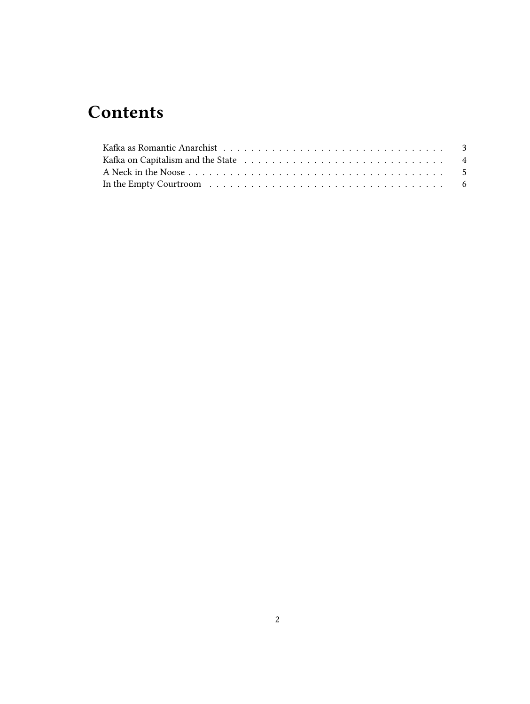## **Contents**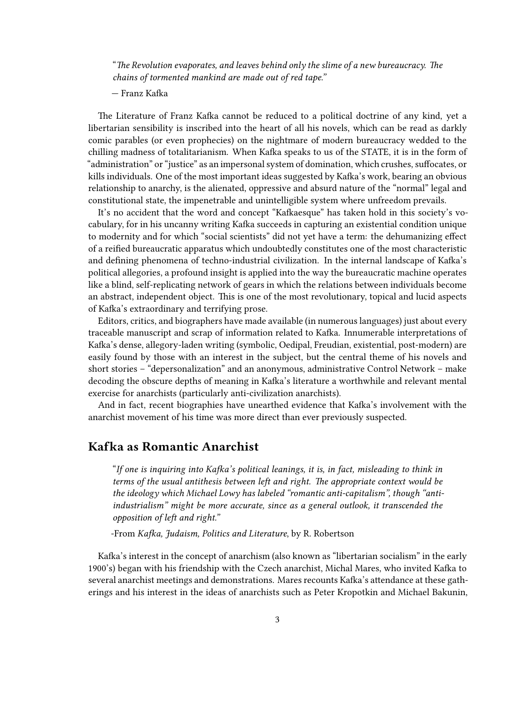"*The Revolution evaporates, and leaves behind only the slime of a new bureaucracy. The chains of tormented mankind are made out of red tape."*

— Franz Kafka

The Literature of Franz Kafka cannot be reduced to a political doctrine of any kind, yet a libertarian sensibility is inscribed into the heart of all his novels, which can be read as darkly comic parables (or even prophecies) on the nightmare of modern bureaucracy wedded to the chilling madness of totalitarianism. When Kafka speaks to us of the STATE, it is in the form of "administration" or "justice" as an impersonal system of domination, which crushes, suffocates, or kills individuals. One of the most important ideas suggested by Kafka's work, bearing an obvious relationship to anarchy, is the alienated, oppressive and absurd nature of the "normal" legal and constitutional state, the impenetrable and unintelligible system where unfreedom prevails.

It's no accident that the word and concept "Kafkaesque" has taken hold in this society's vocabulary, for in his uncanny writing Kafka succeeds in capturing an existential condition unique to modernity and for which "social scientists" did not yet have a term: the dehumanizing effect of a reified bureaucratic apparatus which undoubtedly constitutes one of the most characteristic and defining phenomena of techno-industrial civilization. In the internal landscape of Kafka's political allegories, a profound insight is applied into the way the bureaucratic machine operates like a blind, self-replicating network of gears in which the relations between individuals become an abstract, independent object. This is one of the most revolutionary, topical and lucid aspects of Kafka's extraordinary and terrifying prose.

Editors, critics, and biographers have made available (in numerous languages) just about every traceable manuscript and scrap of information related to Kafka. Innumerable interpretations of Kafka's dense, allegory-laden writing (symbolic, Oedipal, Freudian, existential, post-modern) are easily found by those with an interest in the subject, but the central theme of his novels and short stories – "depersonalization" and an anonymous, administrative Control Network – make decoding the obscure depths of meaning in Kafka's literature a worthwhile and relevant mental exercise for anarchists (particularly anti-civilization anarchists).

And in fact, recent biographies have unearthed evidence that Kafka's involvement with the anarchist movement of his time was more direct than ever previously suspected.

### <span id="page-2-0"></span>**Kafka as Romantic Anarchist**

"*If one is inquiring into Kafka's political leanings, it is, in fact, misleading to think in terms of the usual antithesis between left and right. The appropriate context would be the ideology which Michael Lowy has labeled "romantic anti-capitalism", though "antiindustrialism" might be more accurate, since as a general outlook, it transcended the opposition of left and right."*

-From *Kafka, Judaism, Politics and Literature*, by R. Robertson

Kafka's interest in the concept of anarchism (also known as "libertarian socialism" in the early 1900's) began with his friendship with the Czech anarchist, Michal Mares, who invited Kafka to several anarchist meetings and demonstrations. Mares recounts Kafka's attendance at these gatherings and his interest in the ideas of anarchists such as Peter Kropotkin and Michael Bakunin,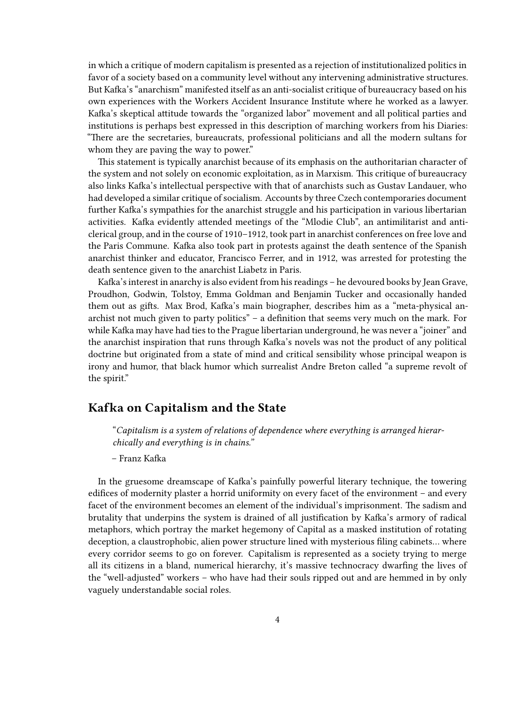in which a critique of modern capitalism is presented as a rejection of institutionalized politics in favor of a society based on a community level without any intervening administrative structures. But Kafka's "anarchism" manifested itself as an anti-socialist critique of bureaucracy based on his own experiences with the Workers Accident Insurance Institute where he worked as a lawyer. Kafka's skeptical attitude towards the "organized labor" movement and all political parties and institutions is perhaps best expressed in this description of marching workers from his Diaries: "There are the secretaries, bureaucrats, professional politicians and all the modern sultans for whom they are paving the way to power."

This statement is typically anarchist because of its emphasis on the authoritarian character of the system and not solely on economic exploitation, as in Marxism. This critique of bureaucracy also links Kafka's intellectual perspective with that of anarchists such as Gustav Landauer, who had developed a similar critique of socialism. Accounts by three Czech contemporaries document further Kafka's sympathies for the anarchist struggle and his participation in various libertarian activities. Kafka evidently attended meetings of the "Mlodie Club", an antimilitarist and anticlerical group, and in the course of 1910–1912, took part in anarchist conferences on free love and the Paris Commune. Kafka also took part in protests against the death sentence of the Spanish anarchist thinker and educator, Francisco Ferrer, and in 1912, was arrested for protesting the death sentence given to the anarchist Liabetz in Paris.

Kafka's interest in anarchy is also evident from his readings – he devoured books by Jean Grave, Proudhon, Godwin, Tolstoy, Emma Goldman and Benjamin Tucker and occasionally handed them out as gifts. Max Brod, Kafka's main biographer, describes him as a "meta-physical anarchist not much given to party politics" – a definition that seems very much on the mark. For while Kafka may have had ties to the Prague libertarian underground, he was never a "joiner" and the anarchist inspiration that runs through Kafka's novels was not the product of any political doctrine but originated from a state of mind and critical sensibility whose principal weapon is irony and humor, that black humor which surrealist Andre Breton called "a supreme revolt of the spirit."

#### <span id="page-3-0"></span>**Kafka on Capitalism and the State**

"*Capitalism is a system of relations of dependence where everything is arranged hierarchically and everything is in chains."*

– Franz Kafka

In the gruesome dreamscape of Kafka's painfully powerful literary technique, the towering edifices of modernity plaster a horrid uniformity on every facet of the environment – and every facet of the environment becomes an element of the individual's imprisonment. The sadism and brutality that underpins the system is drained of all justification by Kafka's armory of radical metaphors, which portray the market hegemony of Capital as a masked institution of rotating deception, a claustrophobic, alien power structure lined with mysterious filing cabinets… where every corridor seems to go on forever. Capitalism is represented as a society trying to merge all its citizens in a bland, numerical hierarchy, it's massive technocracy dwarfing the lives of the "well-adjusted" workers – who have had their souls ripped out and are hemmed in by only vaguely understandable social roles.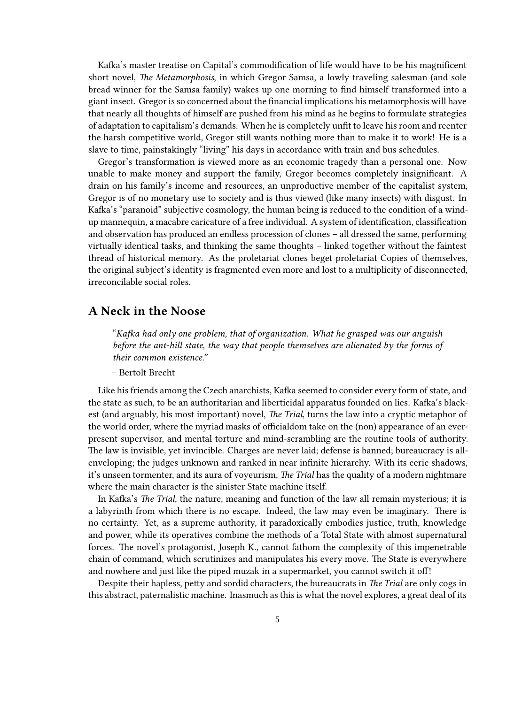Kafka's master treatise on Capital's commodification of life would have to be his magnificent short novel, *The Metamorphosis*, in which Gregor Samsa, a lowly traveling salesman (and sole bread winner for the Samsa family) wakes up one morning to find himself transformed into a giant insect. Gregor is so concerned about the financial implications his metamorphosis will have that nearly all thoughts of himself are pushed from his mind as he begins to formulate strategies of adaptation to capitalism's demands. When he is completely unfit to leave his room and reenter the harsh competitive world, Gregor still wants nothing more than to make it to work! He is a slave to time, painstakingly "living" his days in accordance with train and bus schedules.

Gregor's transformation is viewed more as an economic tragedy than a personal one. Now unable to make money and support the family, Gregor becomes completely insignificant. A drain on his family's income and resources, an unproductive member of the capitalist system, Gregor is of no monetary use to society and is thus viewed (like many insects) with disgust. In Kafka's "paranoid" subjective cosmology, the human being is reduced to the condition of a windup mannequin, a macabre caricature of a free individual. A system of identification, classification and observation has produced an endless procession of clones – all dressed the same, performing virtually identical tasks, and thinking the same thoughts – linked together without the faintest thread of historical memory. As the proletariat clones beget proletariat Copies of themselves, the original subject's identity is fragmented even more and lost to a multiplicity of disconnected, irreconcilable social roles.

#### <span id="page-4-0"></span>**A Neck in the Noose**

"*Kafka had only one problem, that of organization. What he grasped was our anguish before the ant-hill state, the way that people themselves are alienated by the forms of their common existence."*

– Bertolt Brecht

Like his friends among the Czech anarchists, Kafka seemed to consider every form of state, and the state as such, to be an authoritarian and liberticidal apparatus founded on lies. Kafka's blackest (and arguably, his most important) novel, *The Trial*, turns the law into a cryptic metaphor of the world order, where the myriad masks of officialdom take on the (non) appearance of an everpresent supervisor, and mental torture and mind-scrambling are the routine tools of authority. The law is invisible, yet invincible. Charges are never laid; defense is banned; bureaucracy is allenveloping; the judges unknown and ranked in near infinite hierarchy. With its eerie shadows, it's unseen tormenter, and its aura of voyeurism, *The Trial* has the quality of a modern nightmare where the main character is the sinister State machine itself.

In Kafka's *The Trial*, the nature, meaning and function of the law all remain mysterious; it is a labyrinth from which there is no escape. Indeed, the law may even be imaginary. There is no certainty. Yet, as a supreme authority, it paradoxically embodies justice, truth, knowledge and power, while its operatives combine the methods of a Total State with almost supernatural forces. The novel's protagonist, Joseph K., cannot fathom the complexity of this impenetrable chain of command, which scrutinizes and manipulates his every move. The State is everywhere and nowhere and just like the piped muzak in a supermarket, you cannot switch it off!

Despite their hapless, petty and sordid characters, the bureaucrats in *The Trial* are only cogs in this abstract, paternalistic machine. Inasmuch as this is what the novel explores, a great deal of its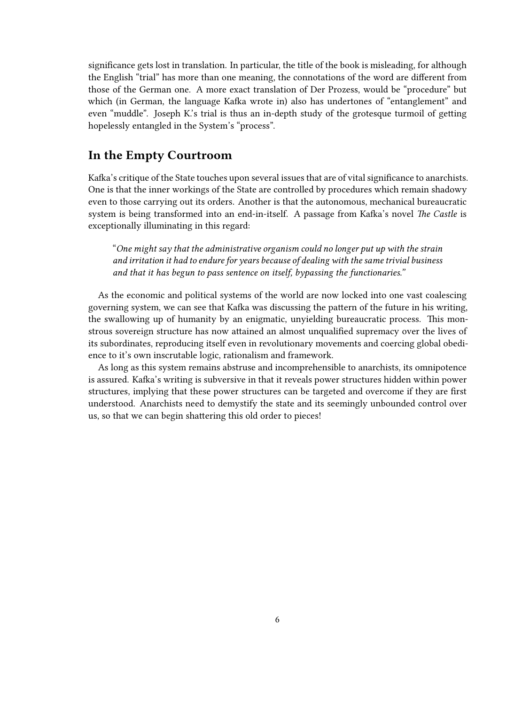significance gets lost in translation. In particular, the title of the book is misleading, for although the English "trial" has more than one meaning, the connotations of the word are different from those of the German one. A more exact translation of Der Prozess, would be "procedure" but which (in German, the language Kafka wrote in) also has undertones of "entanglement" and even "muddle". Joseph K.'s trial is thus an in-depth study of the grotesque turmoil of getting hopelessly entangled in the System's "process".

#### <span id="page-5-0"></span>**In the Empty Courtroom**

Kafka's critique of the State touches upon several issues that are of vital significance to anarchists. One is that the inner workings of the State are controlled by procedures which remain shadowy even to those carrying out its orders. Another is that the autonomous, mechanical bureaucratic system is being transformed into an end-in-itself. A passage from Kafka's novel *The Castle* is exceptionally illuminating in this regard:

"*One might say that the administrative organism could no longer put up with the strain and irritation it had to endure for years because of dealing with the same trivial business and that it has begun to pass sentence on itself, bypassing the functionaries."*

As the economic and political systems of the world are now locked into one vast coalescing governing system, we can see that Kafka was discussing the pattern of the future in his writing, the swallowing up of humanity by an enigmatic, unyielding bureaucratic process. This monstrous sovereign structure has now attained an almost unqualified supremacy over the lives of its subordinates, reproducing itself even in revolutionary movements and coercing global obedience to it's own inscrutable logic, rationalism and framework.

As long as this system remains abstruse and incomprehensible to anarchists, its omnipotence is assured. Kafka's writing is subversive in that it reveals power structures hidden within power structures, implying that these power structures can be targeted and overcome if they are first understood. Anarchists need to demystify the state and its seemingly unbounded control over us, so that we can begin shattering this old order to pieces!